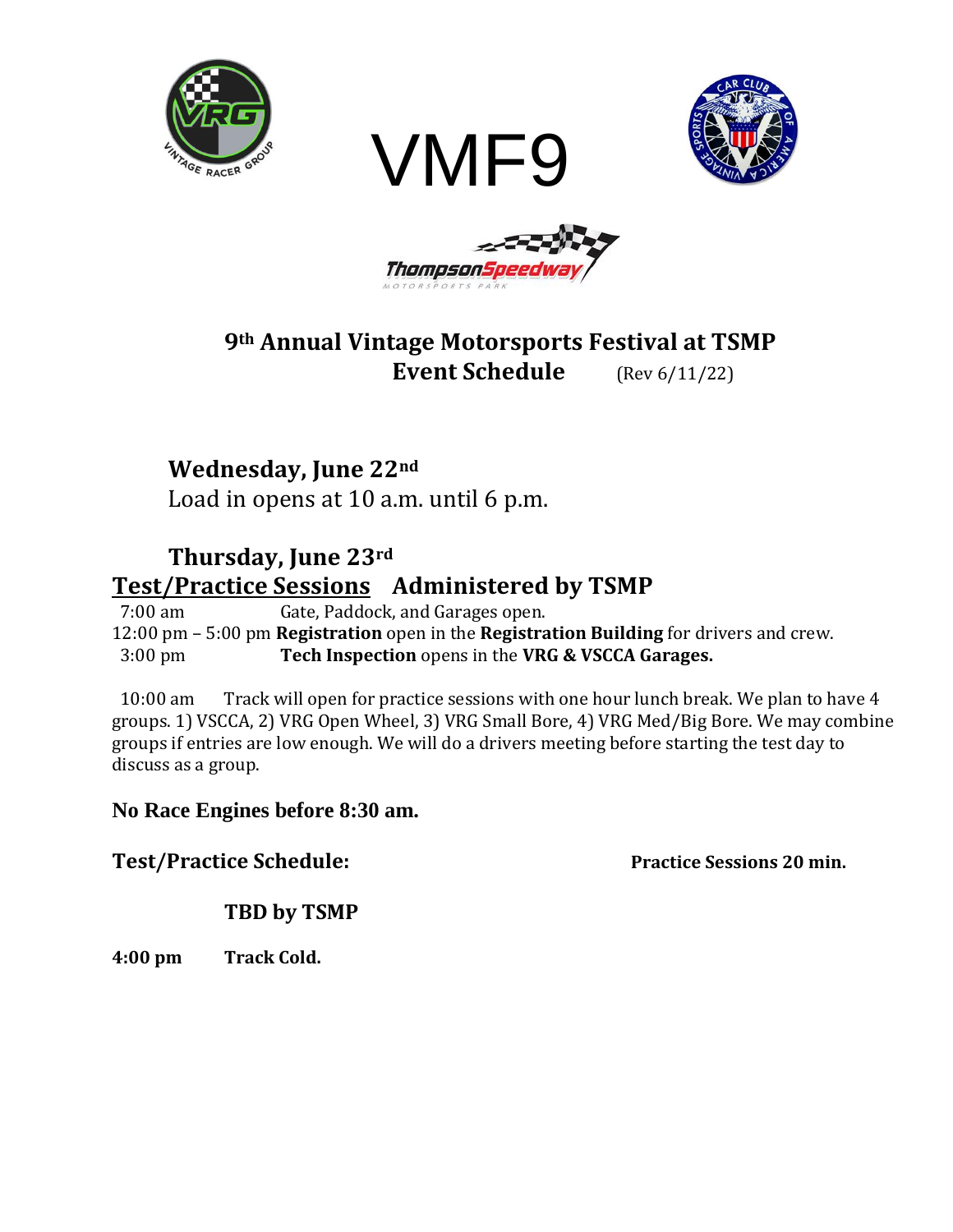







# **9th Annual Vintage Motorsports Festival at TSMP Event Schedule** (Rev 6/11/22)

# **Wednesday, June 22nd**

Load in opens at 10 a.m. until 6 p.m.

# **Thursday, June 23rd Test/Practice Sessions Administered by TSMP**

7:00 am Gate, Paddock, and Garages open.

12:00 pm – 5:00 pm **Registration** open in the **Registration Building** for drivers and crew. 3:00 pm **Tech Inspection** opens in the **VRG & VSCCA Garages.**

10:00 am Track will open for practice sessions with one hour lunch break. We plan to have 4 groups. 1) VSCCA, 2) VRG Open Wheel, 3) VRG Small Bore, 4) VRG Med/Big Bore. We may combine groups if entries are low enough. We will do a drivers meeting before starting the test day to discuss as a group.

### **No Race Engines before 8:30 am.**

### **Test/Practice Schedule:** Practice Sessions 20 min.

### **TBD by TSMP**

**4:00 pm Track Cold.**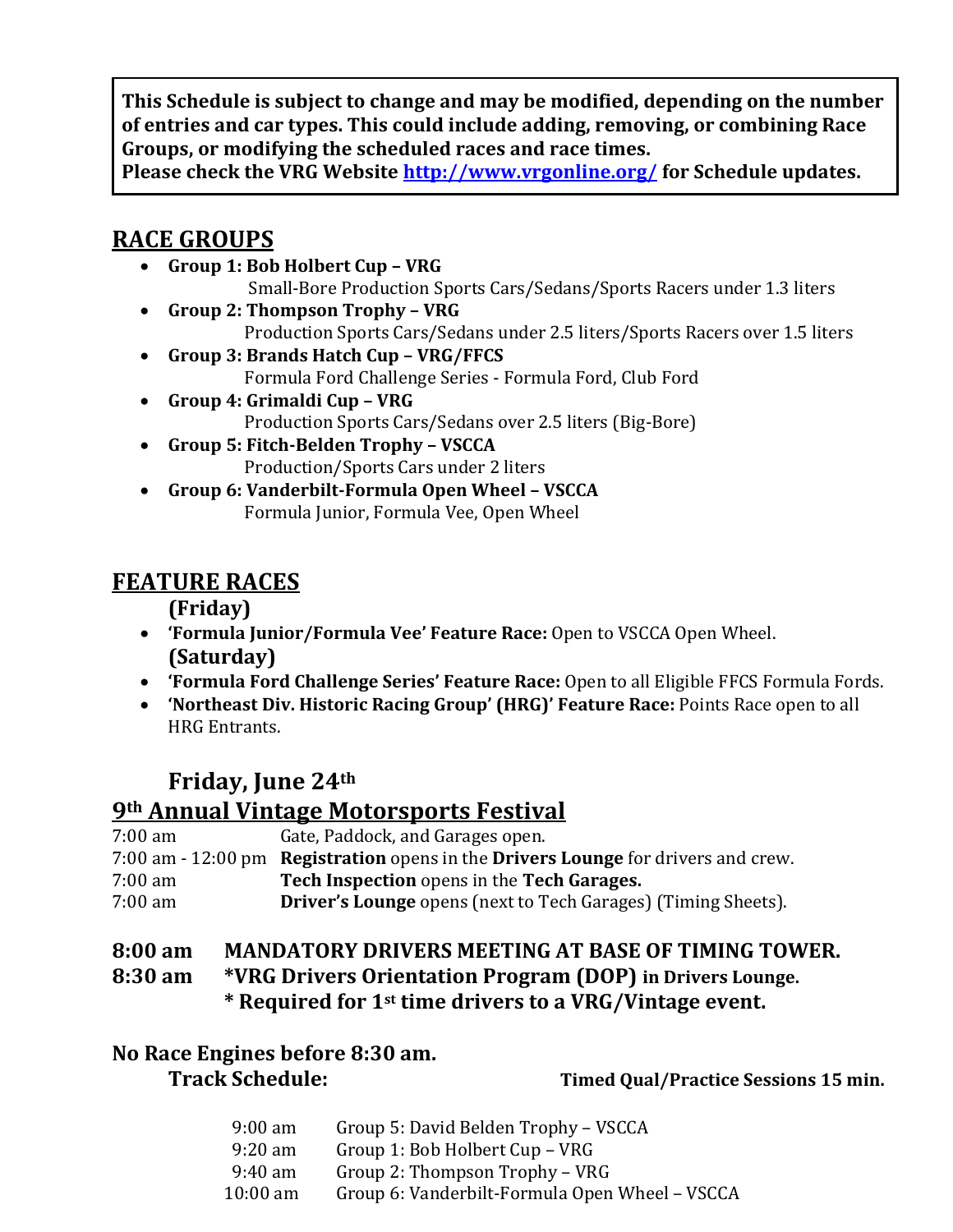**This Schedule is subject to change and may be modified, depending on the number of entries and car types. This could include adding, removing, or combining Race Groups, or modifying the scheduled races and race times.**

**Please check the VRG Website<http://www.vrgonline.org/> for Schedule updates.**

## **RACE GROUPS**

- **Group 1: Bob Holbert Cup – VRG** Small-Bore Production Sports Cars/Sedans/Sports Racers under 1.3 liters
- **Group 2: Thompson Trophy – VRG** Production Sports Cars/Sedans under 2.5 liters/Sports Racers over 1.5 liters
- **Group 3: Brands Hatch Cup – VRG/FFCS** Formula Ford Challenge Series - Formula Ford, Club Ford
- **Group 4: Grimaldi Cup – VRG** Production Sports Cars/Sedans over 2.5 liters (Big-Bore)
- **Group 5: Fitch-Belden Trophy – VSCCA** Production/Sports Cars under 2 liters
- **Group 6: Vanderbilt-Formula Open Wheel – VSCCA** Formula Junior, Formula Vee, Open Wheel

## **FEATURE RACES**

**(Friday)**

- **'Formula Junior/Formula Vee' Feature Race:** Open to VSCCA Open Wheel. **(Saturday)**
- **'Formula Ford Challenge Series' Feature Race:** Open to all Eligible FFCS Formula Fords.
- **'Northeast Div. Historic Racing Group' (HRG)' Feature Race:** Points Race open to all HRG Entrants.

# **Friday, June 24th**

### **9th Annual Vintage Motorsports Festival**

| $7:00 \text{ am}$ | Gate, Paddock, and Garages open.                                                  |
|-------------------|-----------------------------------------------------------------------------------|
|                   | 7:00 am - 12:00 pm Registration opens in the Drivers Lounge for drivers and crew. |
| $7:00 \text{ am}$ | Tech Inspection opens in the Tech Garages.                                        |
| 7:00 am           | <b>Driver's Lounge</b> opens (next to Tech Garages) (Timing Sheets).              |

### **8:00 am MANDATORY DRIVERS MEETING AT BASE OF TIMING TOWER.**

**8:30 am \*VRG Drivers Orientation Program (DOP) in Drivers Lounge. \* Required for 1st time drivers to a VRG/Vintage event.**

# **No Race Engines before 8:30 am.**

**Track Schedule: Timed Qual/Practice Sessions 15 min.**

| $9:00 \text{ am}$ | Group 5: David Belden Trophy – VSCCA           |
|-------------------|------------------------------------------------|
| $9:20 \text{ am}$ | Group 1: Bob Holbert Cup – VRG                 |
| 9:40 am           | Group 2: Thompson Trophy - VRG                 |
| $10:00$ am        | Group 6: Vanderbilt-Formula Open Wheel - VSCCA |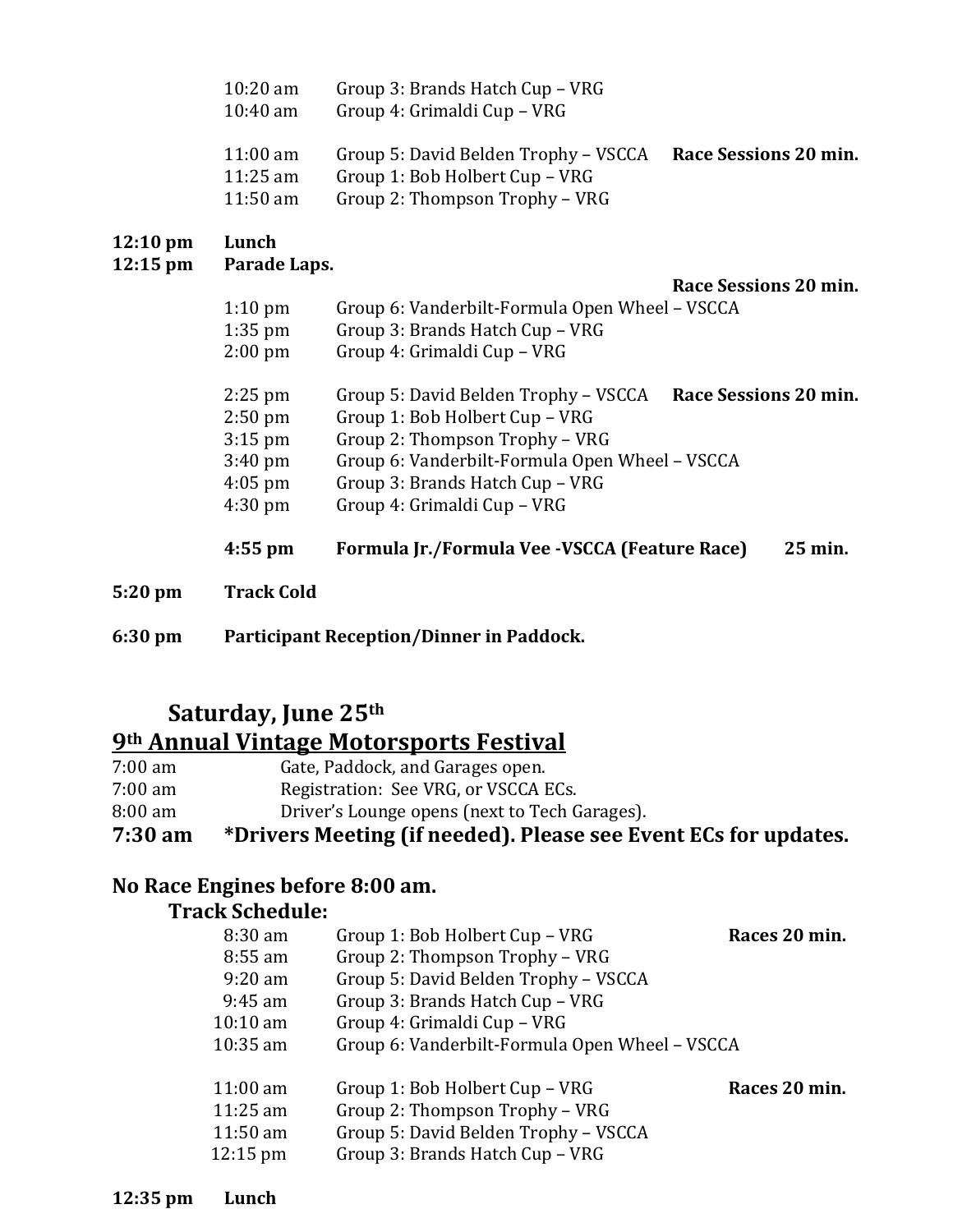| $12:10 \text{ pm}$ | Lunch                                                  |                                                                                                          |                       |
|--------------------|--------------------------------------------------------|----------------------------------------------------------------------------------------------------------|-----------------------|
|                    | $11:00 \text{ am}$<br>$11:25$ am<br>$11:50 \text{ am}$ | Group 5: David Belden Trophy – VSCCA<br>Group 1: Bob Holbert Cup - VRG<br>Group 2: Thompson Trophy – VRG | Race Sessions 20 min. |
|                    | $10:20$ am<br>$10:40$ am                               | Group 3: Brands Hatch Cup – VRG<br>Group 4: Grimaldi Cup – VRG                                           |                       |

### **12:10** pm

#### **12:15 pm Parade Laps.**

**Race Sessions 20 min.**

| $1:10 \text{ pm}$ |  | Group 6: Vanderbilt-Formula Open Wheel – VSCCA |
|-------------------|--|------------------------------------------------|
|-------------------|--|------------------------------------------------|

1:35 pm Group 3: Brands Hatch Cup – VRG

| $2:00 \text{ pm}$ | Group 4: Grimaldi Cup – VRG |  |
|-------------------|-----------------------------|--|
|-------------------|-----------------------------|--|

| $4:55$ pm         | Formula Jr./Formula Vee -VSCCA (Feature Race)  | 25 min.               |
|-------------------|------------------------------------------------|-----------------------|
| $4:30$ pm         | Group 4: Grimaldi Cup - VRG                    |                       |
| $4:05$ pm         | Group 3: Brands Hatch Cup – VRG                |                       |
| $3:40 \text{ pm}$ | Group 6: Vanderbilt-Formula Open Wheel - VSCCA |                       |
| $3:15$ pm         | Group 2: Thompson Trophy - VRG                 |                       |
| $2:50$ pm         | Group 1: Bob Holbert Cup - VRG                 |                       |
| $2:25$ pm         | Group 5: David Belden Trophy – VSCCA           | Race Sessions 20 min. |
|                   |                                                |                       |

**5:20 pm Track Cold**

**6:30 pm Participant Reception/Dinner in Paddock.** 

# **Saturday, June 25th**

# **9th Annual Vintage Motorsports Festival**

| 7:30 am           | *Drivers Meeting (if needed). Please see Event ECs for updates. |
|-------------------|-----------------------------------------------------------------|
| $8:00 \text{ am}$ | Driver's Lounge opens (next to Tech Garages).                   |
| $7:00 \text{ am}$ | Registration: See VRG, or VSCCA ECs.                            |
| $7:00 \text{ am}$ | Gate, Paddock, and Garages open.                                |

### **No Race Engines before 8:00 am.**

#### **Track Schedule:**

| $8:30$ am<br>$8:55$ am<br>$9:20 \text{ am}$<br>$9:45$ am<br>$10:10 \text{ am}$<br>$10:35$ am | Group 1: Bob Holbert Cup - VRG<br>Group 2: Thompson Trophy - VRG<br>Group 5: David Belden Trophy - VSCCA<br>Group 3: Brands Hatch Cup - VRG<br>Group 4: Grimaldi Cup - VRG<br>Group 6: Vanderbilt-Formula Open Wheel - VSCCA | Races 20 min. |
|----------------------------------------------------------------------------------------------|------------------------------------------------------------------------------------------------------------------------------------------------------------------------------------------------------------------------------|---------------|
| $11:00 \text{ am}$<br>$11:25$ am<br>$11:50 \text{ am}$<br>$12:15 \text{ pm}$                 | Group 1: Bob Holbert Cup – VRG<br>Group 2: Thompson Trophy - VRG<br>Group 5: David Belden Trophy - VSCCA<br>Group 3: Brands Hatch Cup - VRG                                                                                  | Races 20 min. |

**12:35 pm Lunch**